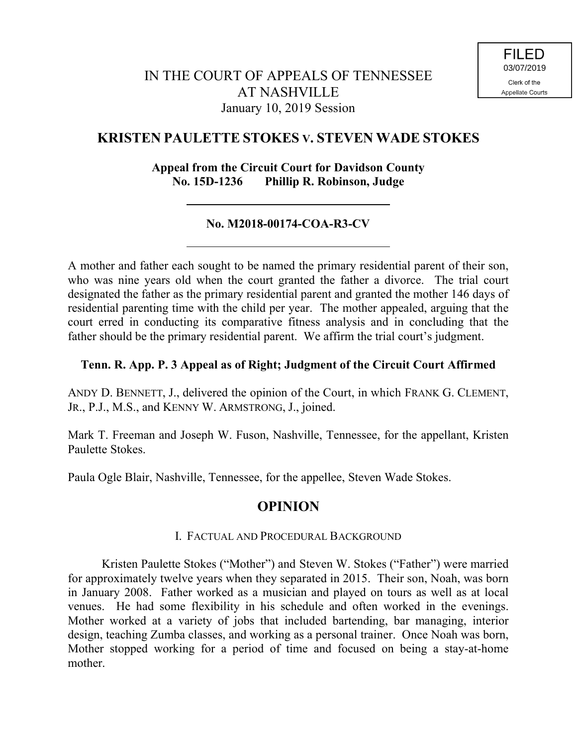# **KRISTEN PAULETTE STOKES V. STEVEN WADE STOKES**

### **Appeal from the Circuit Court for Davidson County No. 15D-1236 Phillip R. Robinson, Judge**

### **No. M2018-00174-COA-R3-CV**

A mother and father each sought to be named the primary residential parent of their son, who was nine years old when the court granted the father a divorce. The trial court designated the father as the primary residential parent and granted the mother 146 days of residential parenting time with the child per year. The mother appealed, arguing that the court erred in conducting its comparative fitness analysis and in concluding that the father should be the primary residential parent. We affirm the trial court's judgment.

#### **Tenn. R. App. P. 3 Appeal as of Right; Judgment of the Circuit Court Affirmed**

ANDY D. BENNETT, J., delivered the opinion of the Court, in which FRANK G. CLEMENT, JR., P.J., M.S., and KENNY W. ARMSTRONG, J., joined.

Mark T. Freeman and Joseph W. Fuson, Nashville, Tennessee, for the appellant, Kristen Paulette Stokes.

Paula Ogle Blair, Nashville, Tennessee, for the appellee, Steven Wade Stokes.

## **OPINION**

#### I. FACTUAL AND PROCEDURAL BACKGROUND

Kristen Paulette Stokes ("Mother") and Steven W. Stokes ("Father") were married for approximately twelve years when they separated in 2015. Their son, Noah, was born in January 2008. Father worked as a musician and played on tours as well as at local venues. He had some flexibility in his schedule and often worked in the evenings. Mother worked at a variety of jobs that included bartending, bar managing, interior design, teaching Zumba classes, and working as a personal trainer. Once Noah was born, Mother stopped working for a period of time and focused on being a stay-at-home mother.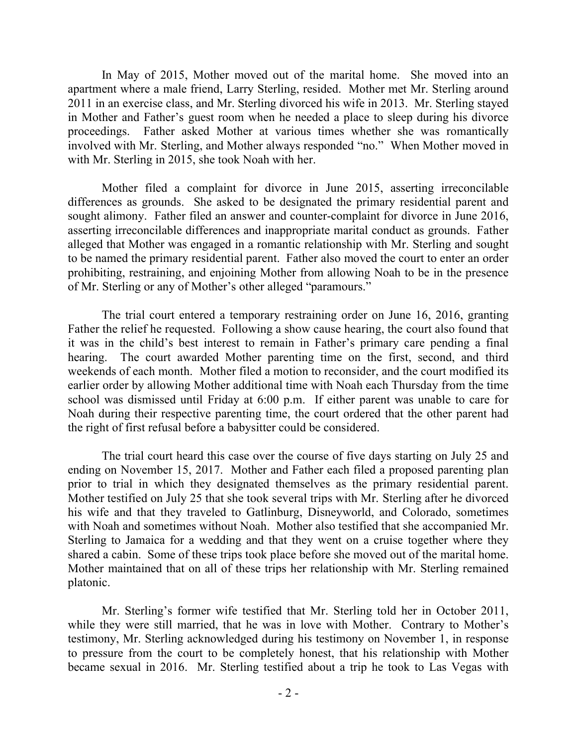In May of 2015, Mother moved out of the marital home. She moved into an apartment where a male friend, Larry Sterling, resided. Mother met Mr. Sterling around 2011 in an exercise class, and Mr. Sterling divorced his wife in 2013. Mr. Sterling stayed in Mother and Father's guest room when he needed a place to sleep during his divorce proceedings. Father asked Mother at various times whether she was romantically involved with Mr. Sterling, and Mother always responded "no." When Mother moved in with Mr. Sterling in 2015, she took Noah with her.

Mother filed a complaint for divorce in June 2015, asserting irreconcilable differences as grounds. She asked to be designated the primary residential parent and sought alimony. Father filed an answer and counter-complaint for divorce in June 2016, asserting irreconcilable differences and inappropriate marital conduct as grounds. Father alleged that Mother was engaged in a romantic relationship with Mr. Sterling and sought to be named the primary residential parent. Father also moved the court to enter an order prohibiting, restraining, and enjoining Mother from allowing Noah to be in the presence of Mr. Sterling or any of Mother's other alleged "paramours."

The trial court entered a temporary restraining order on June 16, 2016, granting Father the relief he requested. Following a show cause hearing, the court also found that it was in the child's best interest to remain in Father's primary care pending a final hearing. The court awarded Mother parenting time on the first, second, and third weekends of each month. Mother filed a motion to reconsider, and the court modified its earlier order by allowing Mother additional time with Noah each Thursday from the time school was dismissed until Friday at 6:00 p.m. If either parent was unable to care for Noah during their respective parenting time, the court ordered that the other parent had the right of first refusal before a babysitter could be considered.

The trial court heard this case over the course of five days starting on July 25 and ending on November 15, 2017. Mother and Father each filed a proposed parenting plan prior to trial in which they designated themselves as the primary residential parent. Mother testified on July 25 that she took several trips with Mr. Sterling after he divorced his wife and that they traveled to Gatlinburg, Disneyworld, and Colorado, sometimes with Noah and sometimes without Noah. Mother also testified that she accompanied Mr. Sterling to Jamaica for a wedding and that they went on a cruise together where they shared a cabin. Some of these trips took place before she moved out of the marital home. Mother maintained that on all of these trips her relationship with Mr. Sterling remained platonic.

Mr. Sterling's former wife testified that Mr. Sterling told her in October 2011, while they were still married, that he was in love with Mother. Contrary to Mother's testimony, Mr. Sterling acknowledged during his testimony on November 1, in response to pressure from the court to be completely honest, that his relationship with Mother became sexual in 2016. Mr. Sterling testified about a trip he took to Las Vegas with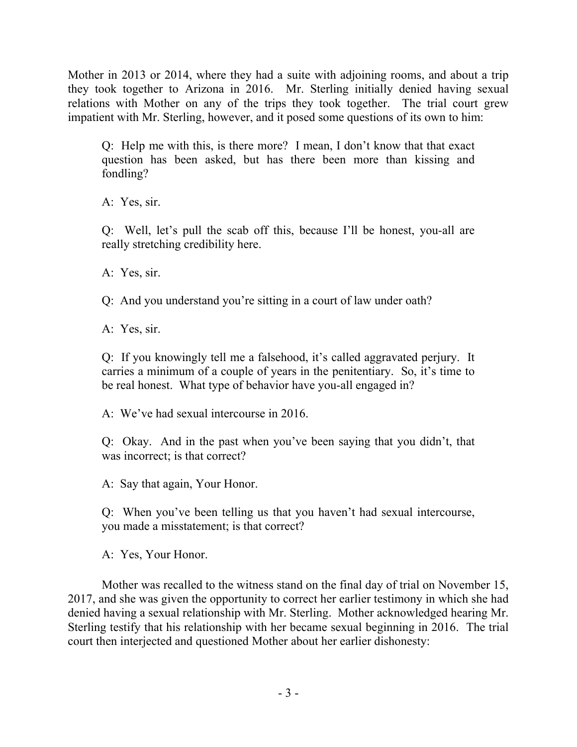Mother in 2013 or 2014, where they had a suite with adjoining rooms, and about a trip they took together to Arizona in 2016. Mr. Sterling initially denied having sexual relations with Mother on any of the trips they took together. The trial court grew impatient with Mr. Sterling, however, and it posed some questions of its own to him:

Q: Help me with this, is there more? I mean, I don't know that that exact question has been asked, but has there been more than kissing and fondling?

A: Yes, sir.

Q: Well, let's pull the scab off this, because I'll be honest, you-all are really stretching credibility here.

A: Yes, sir.

Q: And you understand you're sitting in a court of law under oath?

A: Yes, sir.

Q: If you knowingly tell me a falsehood, it's called aggravated perjury. It carries a minimum of a couple of years in the penitentiary. So, it's time to be real honest. What type of behavior have you-all engaged in?

A: We've had sexual intercourse in 2016.

Q: Okay. And in the past when you've been saying that you didn't, that was incorrect; is that correct?

A: Say that again, Your Honor.

Q: When you've been telling us that you haven't had sexual intercourse, you made a misstatement; is that correct?

A: Yes, Your Honor.

Mother was recalled to the witness stand on the final day of trial on November 15, 2017, and she was given the opportunity to correct her earlier testimony in which she had denied having a sexual relationship with Mr. Sterling. Mother acknowledged hearing Mr. Sterling testify that his relationship with her became sexual beginning in 2016. The trial court then interjected and questioned Mother about her earlier dishonesty: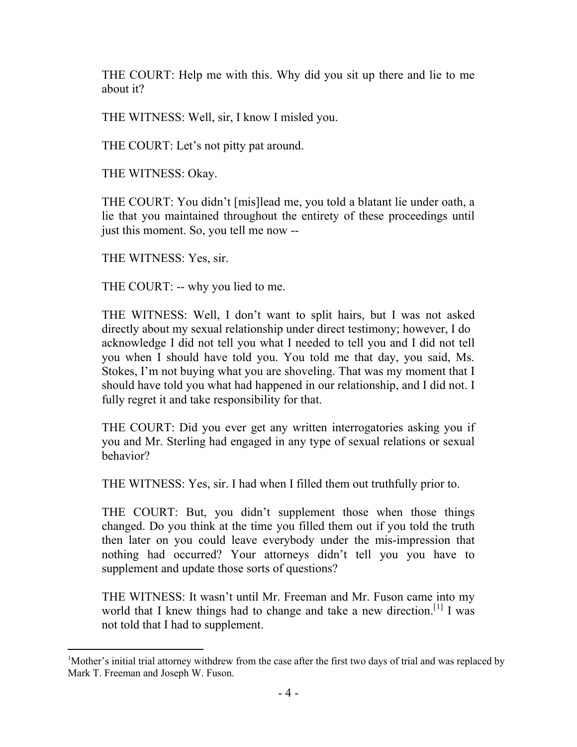THE COURT: Help me with this. Why did you sit up there and lie to me about it?

THE WITNESS: Well, sir, I know I misled you.

THE COURT: Let's not pitty pat around.

THE WITNESS: Okay.

THE COURT: You didn't [mis]lead me, you told a blatant lie under oath, a lie that you maintained throughout the entirety of these proceedings until just this moment. So, you tell me now --

THE WITNESS: Yes, sir.

 $\overline{a}$ 

THE COURT: -- why you lied to me.

THE WITNESS: Well, I don't want to split hairs, but I was not asked directly about my sexual relationship under direct testimony; however, I do acknowledge I did not tell you what I needed to tell you and I did not tell you when I should have told you. You told me that day, you said, Ms. Stokes, I'm not buying what you are shoveling. That was my moment that I should have told you what had happened in our relationship, and I did not. I fully regret it and take responsibility for that.

THE COURT: Did you ever get any written interrogatories asking you if you and Mr. Sterling had engaged in any type of sexual relations or sexual behavior?

THE WITNESS: Yes, sir. I had when I filled them out truthfully prior to.

THE COURT: But, you didn't supplement those when those things changed. Do you think at the time you filled them out if you told the truth then later on you could leave everybody under the mis-impression that nothing had occurred? Your attorneys didn't tell you you have to supplement and update those sorts of questions?

THE WITNESS: It wasn't until Mr. Freeman and Mr. Fuson came into my world that I knew things had to change and take a new direction.<sup>[1]</sup> I was not told that I had to supplement.

<sup>&</sup>lt;sup>1</sup>Mother's initial trial attorney withdrew from the case after the first two days of trial and was replaced by Mark T. Freeman and Joseph W. Fuson.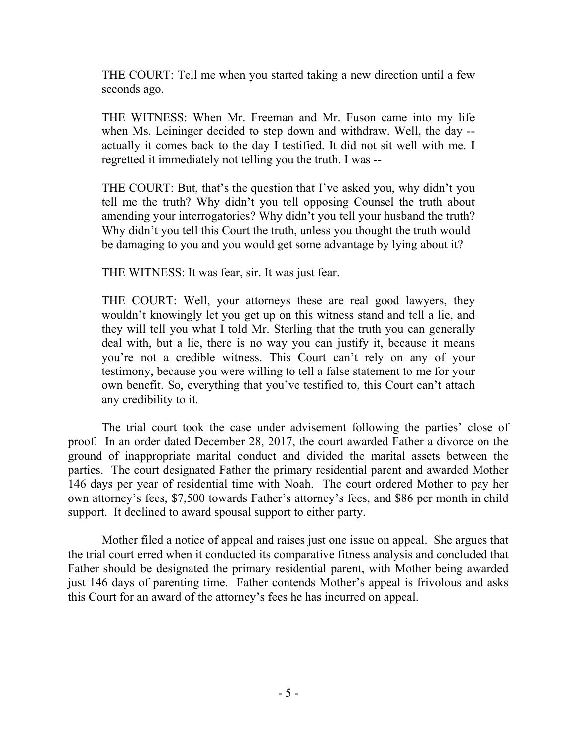THE COURT: Tell me when you started taking a new direction until a few seconds ago.

THE WITNESS: When Mr. Freeman and Mr. Fuson came into my life when Ms. Leininger decided to step down and withdraw. Well, the day - actually it comes back to the day I testified. It did not sit well with me. I regretted it immediately not telling you the truth. I was --

THE COURT: But, that's the question that I've asked you, why didn't you tell me the truth? Why didn't you tell opposing Counsel the truth about amending your interrogatories? Why didn't you tell your husband the truth? Why didn't you tell this Court the truth, unless you thought the truth would be damaging to you and you would get some advantage by lying about it?

THE WITNESS: It was fear, sir. It was just fear.

THE COURT: Well, your attorneys these are real good lawyers, they wouldn't knowingly let you get up on this witness stand and tell a lie, and they will tell you what I told Mr. Sterling that the truth you can generally deal with, but a lie, there is no way you can justify it, because it means you're not a credible witness. This Court can't rely on any of your testimony, because you were willing to tell a false statement to me for your own benefit. So, everything that you've testified to, this Court can't attach any credibility to it.

The trial court took the case under advisement following the parties' close of proof. In an order dated December 28, 2017, the court awarded Father a divorce on the ground of inappropriate marital conduct and divided the marital assets between the parties. The court designated Father the primary residential parent and awarded Mother 146 days per year of residential time with Noah. The court ordered Mother to pay her own attorney's fees, \$7,500 towards Father's attorney's fees, and \$86 per month in child support. It declined to award spousal support to either party.

Mother filed a notice of appeal and raises just one issue on appeal. She argues that the trial court erred when it conducted its comparative fitness analysis and concluded that Father should be designated the primary residential parent, with Mother being awarded just 146 days of parenting time. Father contends Mother's appeal is frivolous and asks this Court for an award of the attorney's fees he has incurred on appeal.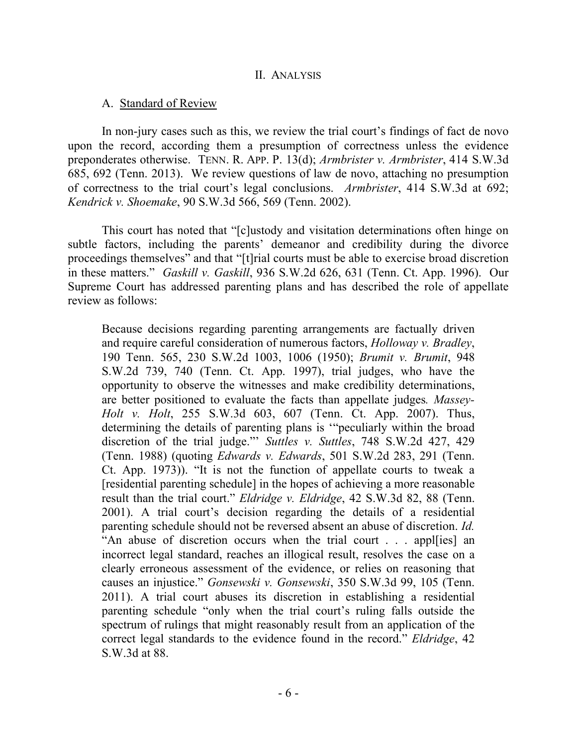#### A. Standard of Review

In non-jury cases such as this, we review the trial court's findings of fact de novo upon the record, according them a presumption of correctness unless the evidence preponderates otherwise. TENN. R. APP. P. 13(d); *Armbrister v. Armbrister*, 414 S.W.3d 685, 692 (Tenn. 2013). We review questions of law de novo, attaching no presumption of correctness to the trial court's legal conclusions. *Armbrister*, 414 S.W.3d at 692; *Kendrick v. Shoemake*, 90 S.W.3d 566, 569 (Tenn. 2002).

This court has noted that "[c]ustody and visitation determinations often hinge on subtle factors, including the parents' demeanor and credibility during the divorce proceedings themselves" and that "[t]rial courts must be able to exercise broad discretion in these matters." *Gaskill v. Gaskill*, 936 S.W.2d 626, 631 (Tenn. Ct. App. 1996). Our Supreme Court has addressed parenting plans and has described the role of appellate review as follows:

Because decisions regarding parenting arrangements are factually driven and require careful consideration of numerous factors, *Holloway v. Bradley*, 190 Tenn. 565, 230 S.W.2d 1003, 1006 (1950); *Brumit v. Brumit*, 948 S.W.2d 739, 740 (Tenn. Ct. App. 1997), trial judges, who have the opportunity to observe the witnesses and make credibility determinations, are better positioned to evaluate the facts than appellate judges*. Massey-Holt v. Holt*, 255 S.W.3d 603, 607 (Tenn. Ct. App. 2007). Thus, determining the details of parenting plans is '"peculiarly within the broad discretion of the trial judge."' *Suttles v. Suttles*, 748 S.W.2d 427, 429 (Tenn. 1988) (quoting *Edwards v. Edwards*, 501 S.W.2d 283, 291 (Tenn. Ct. App. 1973)). "It is not the function of appellate courts to tweak a [residential parenting schedule] in the hopes of achieving a more reasonable result than the trial court." *Eldridge v. Eldridge*, 42 S.W.3d 82, 88 (Tenn. 2001). A trial court's decision regarding the details of a residential parenting schedule should not be reversed absent an abuse of discretion. *Id.* "An abuse of discretion occurs when the trial court . . . appl[ies] an incorrect legal standard, reaches an illogical result, resolves the case on a clearly erroneous assessment of the evidence, or relies on reasoning that causes an injustice." *Gonsewski v. Gonsewski*, 350 S.W.3d 99, 105 (Tenn. 2011). A trial court abuses its discretion in establishing a residential parenting schedule "only when the trial court's ruling falls outside the spectrum of rulings that might reasonably result from an application of the correct legal standards to the evidence found in the record." *Eldridge*, 42 S.W.3d at 88.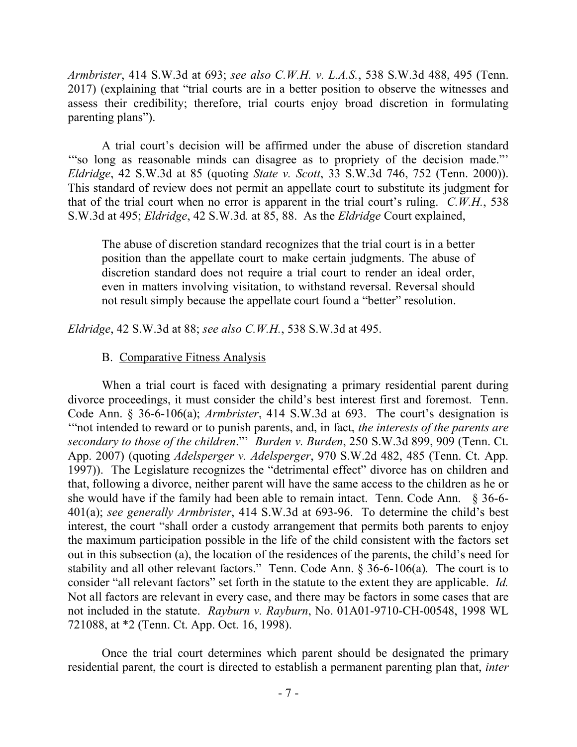*Armbrister*, 414 S.W.3d at 693; *see also C.W.H. v. L.A.S.*, 538 S.W.3d 488, 495 (Tenn. 2017) (explaining that "trial courts are in a better position to observe the witnesses and assess their credibility; therefore, trial courts enjoy broad discretion in formulating parenting plans").

A trial court's decision will be affirmed under the abuse of discretion standard '"so long as reasonable minds can disagree as to propriety of the decision made."' *Eldridge*, 42 S.W.3d at 85 (quoting *State v. Scott*, 33 S.W.3d 746, 752 (Tenn. 2000)). This standard of review does not permit an appellate court to substitute its judgment for that of the trial court when no error is apparent in the trial court's ruling. *C.W.H.*, 538 S.W.3d at 495; *Eldridge*, 42 S.W.3d*.* at 85, 88. As the *Eldridge* Court explained,

The abuse of discretion standard recognizes that the trial court is in a better position than the appellate court to make certain judgments. The abuse of discretion standard does not require a trial court to render an ideal order, even in matters involving visitation, to withstand reversal. Reversal should not result simply because the appellate court found a "better" resolution.

*Eldridge*, 42 S.W.3d at 88; *see also C.W.H.*, 538 S.W.3d at 495.

#### B. Comparative Fitness Analysis

When a trial court is faced with designating a primary residential parent during divorce proceedings, it must consider the child's best interest first and foremost. Tenn. Code Ann. § 36-6-106(a); *Armbrister*, 414 S.W.3d at 693. The court's designation is '"not intended to reward or to punish parents, and, in fact, *the interests of the parents are secondary to those of the children*."' *Burden v. Burden*, 250 S.W.3d 899, 909 (Tenn. Ct. App. 2007) (quoting *Adelsperger v. Adelsperger*, 970 S.W.2d 482, 485 (Tenn. Ct. App. 1997)). The Legislature recognizes the "detrimental effect" divorce has on children and that, following a divorce, neither parent will have the same access to the children as he or she would have if the family had been able to remain intact. Tenn. Code Ann. § 36-6- 401(a); *see generally Armbrister*, 414 S.W.3d at 693-96. To determine the child's best interest, the court "shall order a custody arrangement that permits both parents to enjoy the maximum participation possible in the life of the child consistent with the factors set out in this subsection (a), the location of the residences of the parents, the child's need for stability and all other relevant factors." Tenn. Code Ann. § 36-6-106(a)*.* The court is to consider "all relevant factors" set forth in the statute to the extent they are applicable. *Id.* Not all factors are relevant in every case, and there may be factors in some cases that are not included in the statute. *Rayburn v. Rayburn*, No. 01A01-9710-CH-00548, 1998 WL 721088, at \*2 (Tenn. Ct. App. Oct. 16, 1998).

Once the trial court determines which parent should be designated the primary residential parent, the court is directed to establish a permanent parenting plan that, *inter*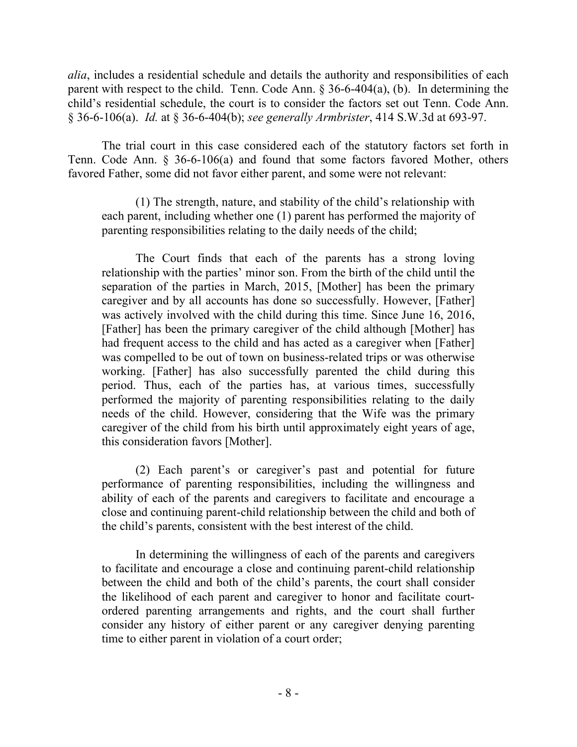*alia*, includes a residential schedule and details the authority and responsibilities of each parent with respect to the child. Tenn. Code Ann. § 36-6-404(a), (b). In determining the child's residential schedule, the court is to consider the factors set out Tenn. Code Ann. § 36-6-106(a). *Id.* at § 36-6-404(b); *see generally Armbrister*, 414 S.W.3d at 693-97.

The trial court in this case considered each of the statutory factors set forth in Tenn. Code Ann. § 36-6-106(a) and found that some factors favored Mother, others favored Father, some did not favor either parent, and some were not relevant:

(1) The strength, nature, and stability of the child's relationship with each parent, including whether one (1) parent has performed the majority of parenting responsibilities relating to the daily needs of the child;

The Court finds that each of the parents has a strong loving relationship with the parties' minor son. From the birth of the child until the separation of the parties in March, 2015, [Mother] has been the primary caregiver and by all accounts has done so successfully. However, [Father] was actively involved with the child during this time. Since June 16, 2016, [Father] has been the primary caregiver of the child although [Mother] has had frequent access to the child and has acted as a caregiver when [Father] was compelled to be out of town on business-related trips or was otherwise working. [Father] has also successfully parented the child during this period. Thus, each of the parties has, at various times, successfully performed the majority of parenting responsibilities relating to the daily needs of the child. However, considering that the Wife was the primary caregiver of the child from his birth until approximately eight years of age, this consideration favors [Mother].

(2) Each parent's or caregiver's past and potential for future performance of parenting responsibilities, including the willingness and ability of each of the parents and caregivers to facilitate and encourage a close and continuing parent-child relationship between the child and both of the child's parents, consistent with the best interest of the child.

In determining the willingness of each of the parents and caregivers to facilitate and encourage a close and continuing parent-child relationship between the child and both of the child's parents, the court shall consider the likelihood of each parent and caregiver to honor and facilitate courtordered parenting arrangements and rights, and the court shall further consider any history of either parent or any caregiver denying parenting time to either parent in violation of a court order;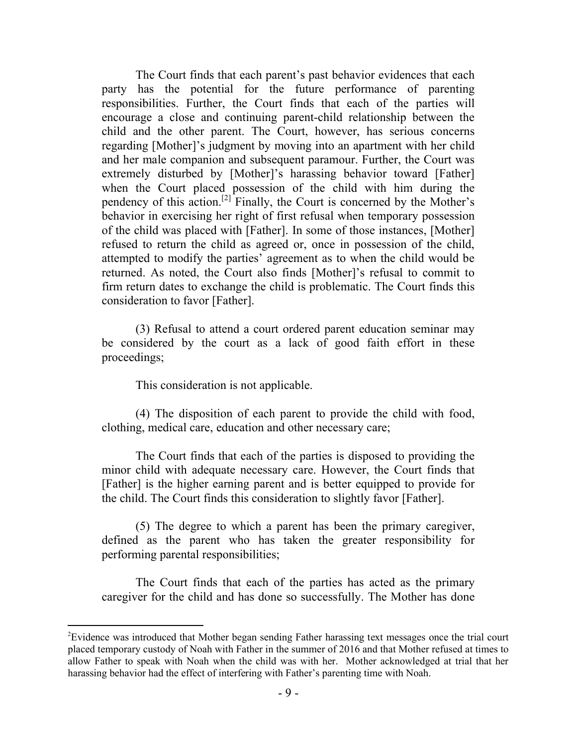The Court finds that each parent's past behavior evidences that each party has the potential for the future performance of parenting responsibilities. Further, the Court finds that each of the parties will encourage a close and continuing parent-child relationship between the child and the other parent. The Court, however, has serious concerns regarding [Mother]'s judgment by moving into an apartment with her child and her male companion and subsequent paramour. Further, the Court was extremely disturbed by [Mother]'s harassing behavior toward [Father] when the Court placed possession of the child with him during the pendency of this action.<sup>[2]</sup> Finally, the Court is concerned by the Mother's behavior in exercising her right of first refusal when temporary possession of the child was placed with [Father]. In some of those instances, [Mother] refused to return the child as agreed or, once in possession of the child, attempted to modify the parties' agreement as to when the child would be returned. As noted, the Court also finds [Mother]'s refusal to commit to firm return dates to exchange the child is problematic. The Court finds this consideration to favor [Father].

(3) Refusal to attend a court ordered parent education seminar may be considered by the court as a lack of good faith effort in these proceedings;

This consideration is not applicable.

 $\overline{a}$ 

(4) The disposition of each parent to provide the child with food, clothing, medical care, education and other necessary care;

The Court finds that each of the parties is disposed to providing the minor child with adequate necessary care. However, the Court finds that [Father] is the higher earning parent and is better equipped to provide for the child. The Court finds this consideration to slightly favor [Father].

(5) The degree to which a parent has been the primary caregiver, defined as the parent who has taken the greater responsibility for performing parental responsibilities;

The Court finds that each of the parties has acted as the primary caregiver for the child and has done so successfully. The Mother has done

<sup>2</sup>Evidence was introduced that Mother began sending Father harassing text messages once the trial court placed temporary custody of Noah with Father in the summer of 2016 and that Mother refused at times to allow Father to speak with Noah when the child was with her. Mother acknowledged at trial that her harassing behavior had the effect of interfering with Father's parenting time with Noah.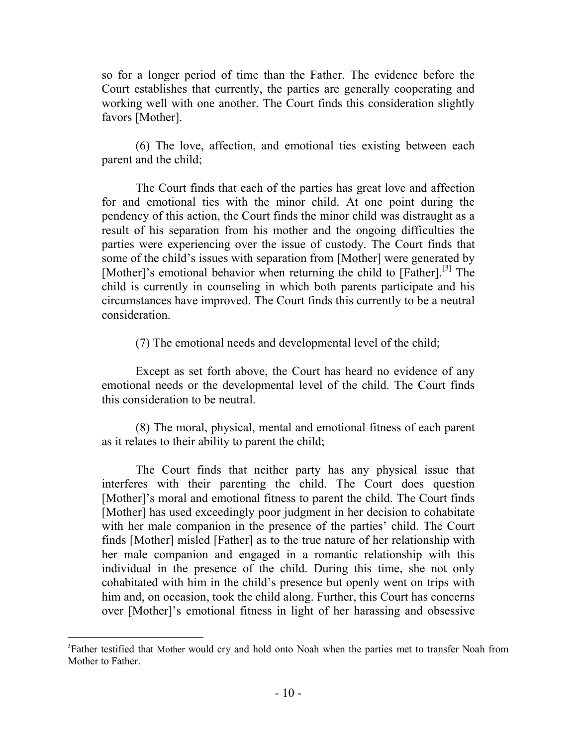so for a longer period of time than the Father. The evidence before the Court establishes that currently, the parties are generally cooperating and working well with one another. The Court finds this consideration slightly favors [Mother].

(6) The love, affection, and emotional ties existing between each parent and the child;

The Court finds that each of the parties has great love and affection for and emotional ties with the minor child. At one point during the pendency of this action, the Court finds the minor child was distraught as a result of his separation from his mother and the ongoing difficulties the parties were experiencing over the issue of custody. The Court finds that some of the child's issues with separation from [Mother] were generated by [Mother]'s emotional behavior when returning the child to [Father].<sup>[3]</sup> The child is currently in counseling in which both parents participate and his circumstances have improved. The Court finds this currently to be a neutral consideration.

(7) The emotional needs and developmental level of the child;

Except as set forth above, the Court has heard no evidence of any emotional needs or the developmental level of the child. The Court finds this consideration to be neutral.

(8) The moral, physical, mental and emotional fitness of each parent as it relates to their ability to parent the child;

The Court finds that neither party has any physical issue that interferes with their parenting the child. The Court does question [Mother]'s moral and emotional fitness to parent the child. The Court finds [Mother] has used exceedingly poor judgment in her decision to cohabitate with her male companion in the presence of the parties' child. The Court finds [Mother] misled [Father] as to the true nature of her relationship with her male companion and engaged in a romantic relationship with this individual in the presence of the child. During this time, she not only cohabitated with him in the child's presence but openly went on trips with him and, on occasion, took the child along. Further, this Court has concerns over [Mother]'s emotional fitness in light of her harassing and obsessive

 $\overline{a}$ 

<sup>&</sup>lt;sup>3</sup>Father testified that Mother would cry and hold onto Noah when the parties met to transfer Noah from Mother to Father.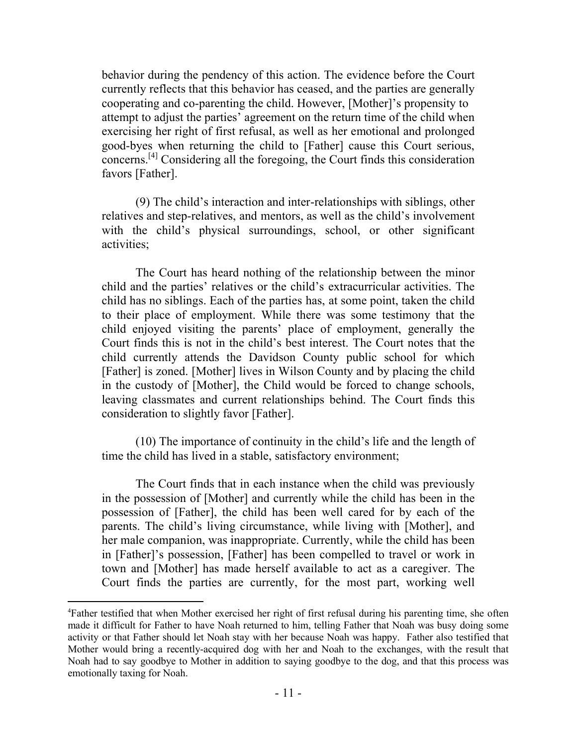behavior during the pendency of this action. The evidence before the Court currently reflects that this behavior has ceased, and the parties are generally cooperating and co-parenting the child. However, [Mother]'s propensity to attempt to adjust the parties' agreement on the return time of the child when exercising her right of first refusal, as well as her emotional and prolonged good-byes when returning the child to [Father] cause this Court serious, concerns.[4] Considering all the foregoing, the Court finds this consideration favors [Father].

(9) The child's interaction and inter-relationships with siblings, other relatives and step-relatives, and mentors, as well as the child's involvement with the child's physical surroundings, school, or other significant activities;

The Court has heard nothing of the relationship between the minor child and the parties' relatives or the child's extracurricular activities. The child has no siblings. Each of the parties has, at some point, taken the child to their place of employment. While there was some testimony that the child enjoyed visiting the parents' place of employment, generally the Court finds this is not in the child's best interest. The Court notes that the child currently attends the Davidson County public school for which [Father] is zoned. [Mother] lives in Wilson County and by placing the child in the custody of [Mother], the Child would be forced to change schools, leaving classmates and current relationships behind. The Court finds this consideration to slightly favor [Father].

(10) The importance of continuity in the child's life and the length of time the child has lived in a stable, satisfactory environment;

The Court finds that in each instance when the child was previously in the possession of [Mother] and currently while the child has been in the possession of [Father], the child has been well cared for by each of the parents. The child's living circumstance, while living with [Mother], and her male companion, was inappropriate. Currently, while the child has been in [Father]'s possession, [Father] has been compelled to travel or work in town and [Mother] has made herself available to act as a caregiver. The Court finds the parties are currently, for the most part, working well

 $\overline{a}$ 

<sup>4</sup>Father testified that when Mother exercised her right of first refusal during his parenting time, she often made it difficult for Father to have Noah returned to him, telling Father that Noah was busy doing some activity or that Father should let Noah stay with her because Noah was happy. Father also testified that Mother would bring a recently-acquired dog with her and Noah to the exchanges, with the result that Noah had to say goodbye to Mother in addition to saying goodbye to the dog, and that this process was emotionally taxing for Noah.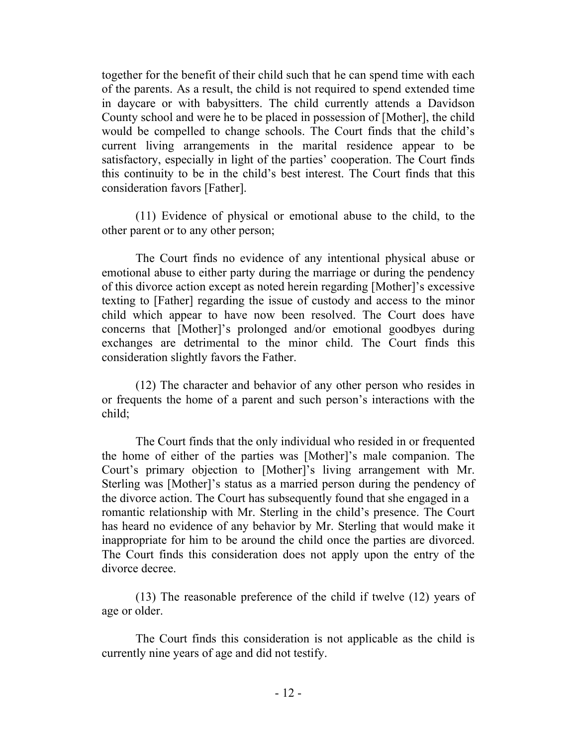together for the benefit of their child such that he can spend time with each of the parents. As a result, the child is not required to spend extended time in daycare or with babysitters. The child currently attends a Davidson County school and were he to be placed in possession of [Mother], the child would be compelled to change schools. The Court finds that the child's current living arrangements in the marital residence appear to be satisfactory, especially in light of the parties' cooperation. The Court finds this continuity to be in the child's best interest. The Court finds that this consideration favors [Father].

(11) Evidence of physical or emotional abuse to the child, to the other parent or to any other person;

The Court finds no evidence of any intentional physical abuse or emotional abuse to either party during the marriage or during the pendency of this divorce action except as noted herein regarding [Mother]'s excessive texting to [Father] regarding the issue of custody and access to the minor child which appear to have now been resolved. The Court does have concerns that [Mother]'s prolonged and/or emotional goodbyes during exchanges are detrimental to the minor child. The Court finds this consideration slightly favors the Father.

(12) The character and behavior of any other person who resides in or frequents the home of a parent and such person's interactions with the child;

The Court finds that the only individual who resided in or frequented the home of either of the parties was [Mother]'s male companion. The Court's primary objection to [Mother]'s living arrangement with Mr. Sterling was [Mother]'s status as a married person during the pendency of the divorce action. The Court has subsequently found that she engaged in a romantic relationship with Mr. Sterling in the child's presence. The Court has heard no evidence of any behavior by Mr. Sterling that would make it inappropriate for him to be around the child once the parties are divorced. The Court finds this consideration does not apply upon the entry of the divorce decree.

(13) The reasonable preference of the child if twelve (12) years of age or older.

The Court finds this consideration is not applicable as the child is currently nine years of age and did not testify.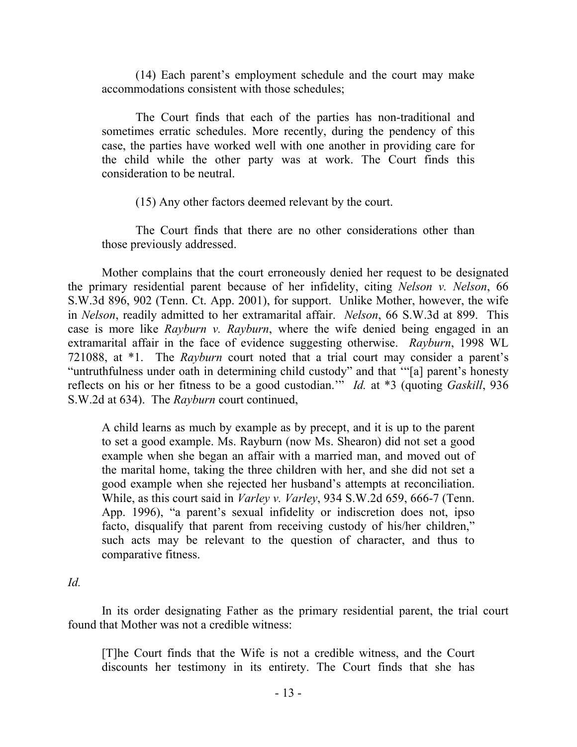(14) Each parent's employment schedule and the court may make accommodations consistent with those schedules;

The Court finds that each of the parties has non-traditional and sometimes erratic schedules. More recently, during the pendency of this case, the parties have worked well with one another in providing care for the child while the other party was at work. The Court finds this consideration to be neutral.

(15) Any other factors deemed relevant by the court.

The Court finds that there are no other considerations other than those previously addressed.

Mother complains that the court erroneously denied her request to be designated the primary residential parent because of her infidelity, citing *Nelson v. Nelson*, 66 S.W.3d 896, 902 (Tenn. Ct. App. 2001), for support. Unlike Mother, however, the wife in *Nelson*, readily admitted to her extramarital affair. *Nelson*, 66 S.W.3d at 899. This case is more like *Rayburn v. Rayburn*, where the wife denied being engaged in an extramarital affair in the face of evidence suggesting otherwise. *Rayburn*, 1998 WL 721088, at \*1. The *Rayburn* court noted that a trial court may consider a parent's "untruthfulness under oath in determining child custody" and that '"[a] parent's honesty reflects on his or her fitness to be a good custodian.'" *Id.* at \*3 (quoting *Gaskill*, 936 S.W.2d at 634). The *Rayburn* court continued,

A child learns as much by example as by precept, and it is up to the parent to set a good example. Ms. Rayburn (now Ms. Shearon) did not set a good example when she began an affair with a married man, and moved out of the marital home, taking the three children with her, and she did not set a good example when she rejected her husband's attempts at reconciliation. While, as this court said in *Varley v. Varley*, 934 S.W.2d 659, 666-7 (Tenn. App. 1996), "a parent's sexual infidelity or indiscretion does not, ipso facto, disqualify that parent from receiving custody of his/her children," such acts may be relevant to the question of character, and thus to comparative fitness.

## *Id.*

In its order designating Father as the primary residential parent, the trial court found that Mother was not a credible witness:

[T]he Court finds that the Wife is not a credible witness, and the Court discounts her testimony in its entirety. The Court finds that she has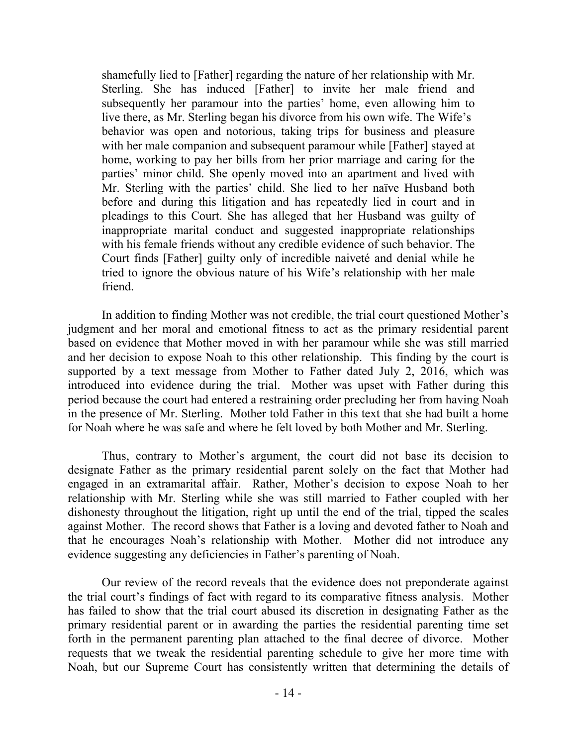shamefully lied to [Father] regarding the nature of her relationship with Mr. Sterling. She has induced [Father] to invite her male friend and subsequently her paramour into the parties' home, even allowing him to live there, as Mr. Sterling began his divorce from his own wife. The Wife's behavior was open and notorious, taking trips for business and pleasure with her male companion and subsequent paramour while [Father] stayed at home, working to pay her bills from her prior marriage and caring for the parties' minor child. She openly moved into an apartment and lived with Mr. Sterling with the parties' child. She lied to her naïve Husband both before and during this litigation and has repeatedly lied in court and in pleadings to this Court. She has alleged that her Husband was guilty of inappropriate marital conduct and suggested inappropriate relationships with his female friends without any credible evidence of such behavior. The Court finds [Father] guilty only of incredible naiveté and denial while he tried to ignore the obvious nature of his Wife's relationship with her male friend.

In addition to finding Mother was not credible, the trial court questioned Mother's judgment and her moral and emotional fitness to act as the primary residential parent based on evidence that Mother moved in with her paramour while she was still married and her decision to expose Noah to this other relationship. This finding by the court is supported by a text message from Mother to Father dated July 2, 2016, which was introduced into evidence during the trial. Mother was upset with Father during this period because the court had entered a restraining order precluding her from having Noah in the presence of Mr. Sterling. Mother told Father in this text that she had built a home for Noah where he was safe and where he felt loved by both Mother and Mr. Sterling.

Thus, contrary to Mother's argument, the court did not base its decision to designate Father as the primary residential parent solely on the fact that Mother had engaged in an extramarital affair. Rather, Mother's decision to expose Noah to her relationship with Mr. Sterling while she was still married to Father coupled with her dishonesty throughout the litigation, right up until the end of the trial, tipped the scales against Mother. The record shows that Father is a loving and devoted father to Noah and that he encourages Noah's relationship with Mother. Mother did not introduce any evidence suggesting any deficiencies in Father's parenting of Noah.

Our review of the record reveals that the evidence does not preponderate against the trial court's findings of fact with regard to its comparative fitness analysis. Mother has failed to show that the trial court abused its discretion in designating Father as the primary residential parent or in awarding the parties the residential parenting time set forth in the permanent parenting plan attached to the final decree of divorce. Mother requests that we tweak the residential parenting schedule to give her more time with Noah, but our Supreme Court has consistently written that determining the details of